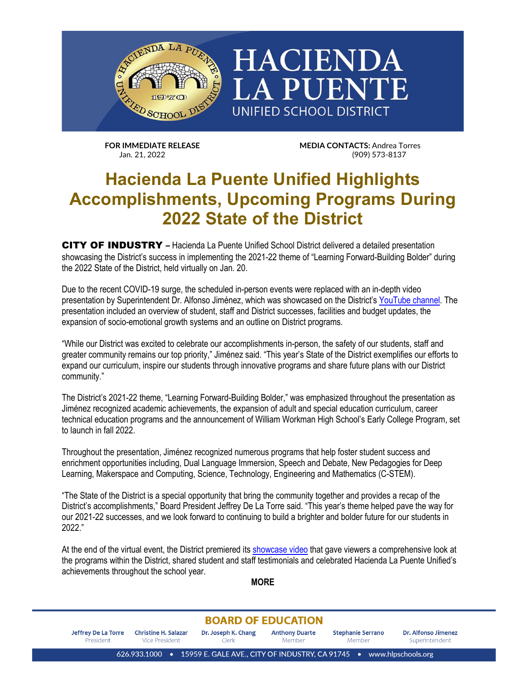

**FOR IMMEDIATE RELEASE MEDIA CONTACTS:** Andrea Torres Jan. 21, 2022 (909) 573-8137

**LA PUENTE** 

## **Hacienda La Puente Unified Highlights Accomplishments, Upcoming Programs During 2022 State of the District**

CITY OF INDUSTRY **–** Hacienda La Puente Unified School District delivered a detailed presentation showcasing the District's success in implementing the 2021-22 theme of "Learning Forward-Building Bolder" during the 2022 State of the District, held virtually on Jan. 20.

Due to the recent COVID-19 surge, the scheduled in-person events were replaced with an in-depth video presentation by Superintendent Dr. Alfonso Jiménez, which was showcased on the District'[s YouTube channel.](https://bit.ly/3rCK9dr) The presentation included an overview of student, staff and District successes, facilities and budget updates, the expansion of socio-emotional growth systems and an outline on District programs.

"While our District was excited to celebrate our accomplishments in-person, the safety of our students, staff and greater community remains our top priority," Jiménez said. "This year's State of the District exemplifies our efforts to expand our curriculum, inspire our students through innovative programs and share future plans with our District community."

The District's 2021-22 theme, "Learning Forward-Building Bolder," was emphasized throughout the presentation as Jiménez recognized academic achievements, the expansion of adult and special education curriculum, career technical education programs and the announcement of William Workman High School's Early College Program, set to launch in fall 2022.

Throughout the presentation, Jiménez recognized numerous programs that help foster student success and enrichment opportunities including, Dual Language Immersion, Speech and Debate, New Pedagogies for Deep Learning, Makerspace and Computing, Science, Technology, Engineering and Mathematics (C-STEM).

"The State of the District is a special opportunity that bring the community together and provides a recap of the District's accomplishments," Board President Jeffrey De La Torre said. "This year's theme helped pave the way for our 2021-22 successes, and we look forward to continuing to build a brighter and bolder future for our students in 2022."

At the end of the virtual event, the District premiered its [showcase video](https://bit.ly/3KuoIUB) that gave viewers a comprehensive look at the programs within the District, shared student and staff testimonials and celebrated Hacienda La Puente Unified's achievements throughout the school year.

**MORE**

## **BOARD OF EDUCATION**

Dr. Joseph K. Chang **Jeffrey De La Torre Christine H. Salazar Anthony Duarte Stephanie Serrano** Dr. Alfonso Jimenez President Vice President Clerk Member Member Superintendent